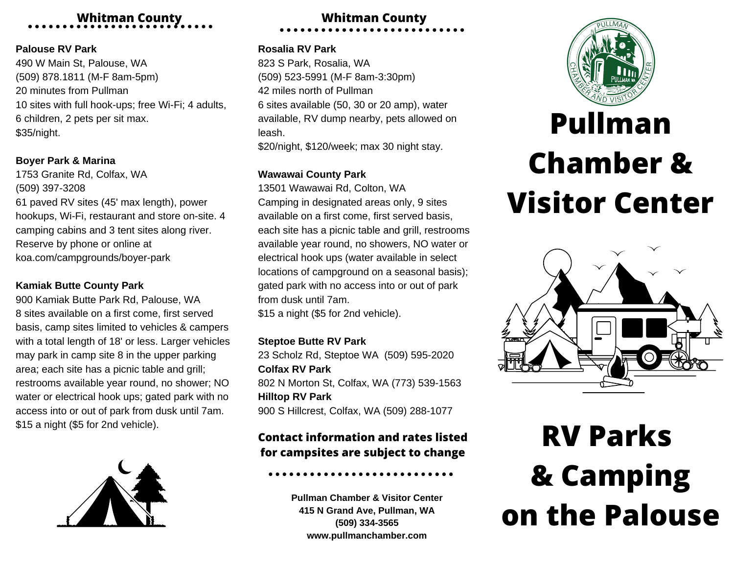# **Whitman County**

### **Palouse RV Park**

 W Main St, Palouse, WA (509) 878.1811 (M-F 8am-5pm) minutes from Pullman sites with full hook-ups; free Wi-Fi; 4 adults, children, 2 pets per sit max. \$35/night.

# **Boyer Park & Marina**

1753 Granite Rd, Colfax, WA (509) 397-3208 61 paved RV sites (45' max length), power hookups, Wi-Fi, restaurant and store on-site. 4 camping cabins and 3 tent sites along river. Reserve by phone or online at koa.com/campgrounds/boyer-park

# **Kamiak Butte County Park**

900 Kamiak Butte Park Rd, Palouse, WA 8 sites available on a first come, first served basis, camp sites limited to vehicles & campers with a total length of 18' or less. Larger vehicles may park in camp site 8 in the upper parking area; each site has a picnic table and grill; restrooms available year round, no shower; NO water or electrical hook ups; gated park with no access into or out of park from dusk until 7am. \$15 a night (\$5 for 2nd vehicle).



# **Whitman County**

## **Rosalia RV Park**

823 S Park, Rosalia, WA (509) 523-5991 (M-F 8am-3:30pm) 42 miles north of Pullman 6 sites available (50, 30 or 20 amp), water available, RV dump nearby, pets allowed on leash. \$20/night, \$120/week; max 30 night stay.

# **Wawawai County Park**

13501 Wawawai Rd, Colton, WA Camping in designated areas only, 9 sites available on a first come, first served basis, each site has a picnic table and grill, restrooms available year round, no showers, NO water or electrical hook ups (water available in select locations of campground on a seasonal basis); gated park with no access into or out of park from dusk until 7am. \$15 a night (\$5 for 2nd vehicle).

## **Steptoe Butte RV Park**

23 Scholz Rd, Steptoe WA (509) 595-2020 **Colfax RV Park** 802 N Morton St, Colfax, WA (773) 539-1563 **Hilltop RV Park** 900 S Hillcrest, Colfax, WA (509) 288-1077

# **Contact information and rates listed for campsites are subject to change**

**Pullman Chamber & Visitor Center 415 N Grand Ave, Pullman, WA (509) 334-3565 www.pullmanchamber.com**



# **Pullman Chamber & Visitor Center**



# **RV Parks & Camping on the Palouse**